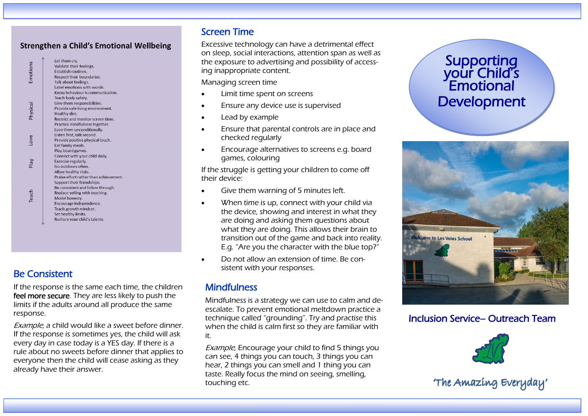#### **Strengthen a Child's Emotional Wellbeing**

|          | Let them cry.                          |
|----------|----------------------------------------|
| Emotions | Validate their feelings.               |
|          | <b>Establish routines.</b>             |
|          | Respect their boundaries.              |
|          | Talk about feelings.                   |
|          | Label emotions with words.             |
|          | Know behaviour is communication.       |
|          | Teach body safety.                     |
| Physica  | Give them responsibilities.            |
|          | Provide safe living environment.       |
|          | Healthy diet.                          |
|          | Restrict and monitor screen time.      |
|          | Practice mindfulness together.         |
|          | Love them unconditionally.             |
| ove-     | Listen first, talk second.             |
|          | Provide positive physical touch.       |
|          | Eat family meals.                      |
|          | Play board games.                      |
|          | Connect with your child daily.         |
| V        | Exercise regularly.                    |
|          | Go outdoors often.                     |
|          | Allow healthy risks.                   |
|          | Praise effort rather than achievement. |
|          | Support their friendships.             |
| Teach    | Be consistent and follow through.      |
|          | Replace yelling with teaching.         |
|          | Model honesty.                         |
|          | Encourage independence.                |
|          | Teach growth mindset.                  |
|          | Set healthy limits.                    |
|          | Nurture your child's talents.          |
|          |                                        |

# Be Consistent

If the response is the same each time, the children feel more secure. They are less likely to push the limits if the adults around all produce the same response.

Example, a child would like a sweet before dinner. If the response is sometimes yes, the child will ask every day in case today is a YES day. If there is a rule about no sweets before dinner that applies to everyone then the child will cease asking as they already have their answer.

### Screen Time

Excessive technology can have a detrimental effect on sleep, social interactions, attention span as well as the exposure to advertising and possibility of accessing inappropriate content.

Managing screen time

- Limit time spent on screens
- Ensure any device use is supervised
- Lead by example
- Ensure that parental controls are in place and checked regularly
- Encourage alternatives to screens e.g. board games, colouring

If the struggle is getting your children to come off their device:

- Give them warning of 5 minutes left.
- When time is up, connect with your child via the device, showing and interest in what they are doing and asking them questions about what they are doing. This allows their brain to transition out of the game and back into reality. E.g. "Are you the character with the blue top?"
- Do not allow an extension of time. Be consistent with your responses.

#### **Mindfulness**

Mindfulness is a strategy we can use to calm and deescalate. To prevent emotional meltdown practice a technique called "grounding". Try and practise this when the child is calm first so they are familiar with it.

Example, Encourage your child to find 5 things you can see, 4 things you can touch, 3 things you can hear, 2 things you can smell and 1 thing you can taste. Really focus the mind on seeing, smelling, touching etc.

# **Supporting** your Child's Emotional Development



# Inclusion Service– Outreach Team



The Amazing Everyday'